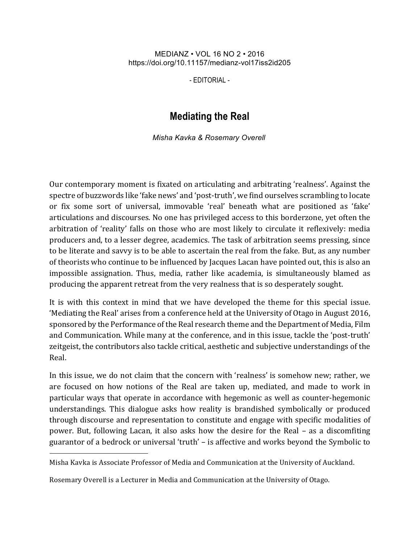## MEDIANZ • VOL 16 NO 2 • 2016 https://doi.org/10.11157/medianz-vol17iss2id205

- EDITORIAL -

## **Mediating the Real**

*Misha Kavka & Rosemary Overell*

Our contemporary moment is fixated on articulating and arbitrating 'realness'. Against the spectre of buzzwords like 'fake news' and 'post-truth', we find ourselves scrambling to locate or fix some sort of universal, immovable 'real' beneath what are positioned as 'fake' articulations and discourses. No one has privileged access to this borderzone, yet often the arbitration of 'reality' falls on those who are most likely to circulate it reflexively: media producers and, to a lesser degree, academics. The task of arbitration seems pressing, since to be literate and savvy is to be able to ascertain the real from the fake. But, as any number of theorists who continue to be influenced by Jacques Lacan have pointed out, this is also an impossible assignation. Thus, media, rather like academia, is simultaneously blamed as producing the apparent retreat from the very realness that is so desperately sought.

It is with this context in mind that we have developed the theme for this special issue. 'Mediating the Real' arises from a conference held at the University of Otago in August 2016, sponsored by the Performance of the Real research theme and the Department of Media, Film and Communication. While many at the conference, and in this issue, tackle the 'post-truth' zeitgeist, the contributors also tackle critical, aesthetic and subjective understandings of the Real. 

In this issue, we do not claim that the concern with 'realness' is somehow new; rather, we are focused on how notions of the Real are taken up, mediated, and made to work in particular ways that operate in accordance with hegemonic as well as counter-hegemonic understandings. This dialogue asks how reality is brandished symbolically or produced through discourse and representation to constitute and engage with specific modalities of power. But, following Lacan, it also asks how the desire for the Real – as a discomfiting guarantor of a bedrock or universal 'truth' – is affective and works beyond the Symbolic to

l

Misha Kavka is Associate Professor of Media and Communication at the University of Auckland.

Rosemary Overell is a Lecturer in Media and Communication at the University of Otago.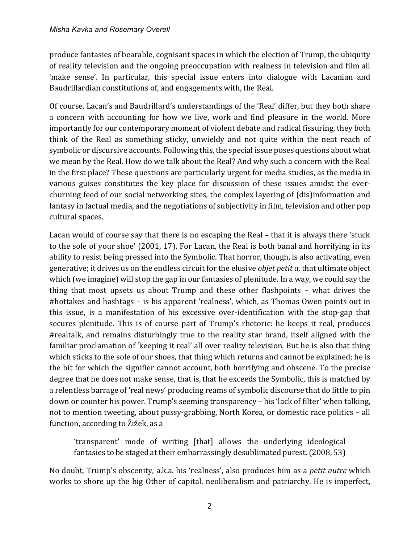produce fantasies of bearable, cognisant spaces in which the election of Trump, the ubiquity of reality television and the ongoing preoccupation with realness in television and film all 'make sense'. In particular, this special issue enters into dialogue with Lacanian and Baudrillardian constitutions of, and engagements with, the Real.

Of course, Lacan's and Baudrillard's understandings of the 'Real' differ, but they both share a concern with accounting for how we live, work and find pleasure in the world. More importantly for our contemporary moment of violent debate and radical fissuring, they both think of the Real as something sticky, unwieldy and not quite within the neat reach of symbolic or discursive accounts. Following this, the special issue poses questions about what we mean by the Real. How do we talk about the Real? And why such a concern with the Real in the first place? These questions are particularly urgent for media studies, as the media in various guises constitutes the key place for discussion of these issues amidst the everchurning feed of our social networking sites, the complex layering of (dis)information and fantasy in factual media, and the negotiations of subjectivity in film, television and other pop cultural spaces.

Lacan would of course say that there is no escaping the Real  $-$  that it is always there 'stuck to the sole of your shoe' (2001, 17). For Lacan, the Real is both banal and horrifying in its ability to resist being pressed into the Symbolic. That horror, though, is also activating, even generative; it drives us on the endless circuit for the elusive *objet petit a*, that ultimate object which (we imagine) will stop the gap in our fantasies of plenitude. In a way, we could say the thing that most upsets us about Trump and these other flashpoints  $-$  what drives the #hottakes and hashtags – is his apparent 'realness', which, as Thomas Owen points out in this issue, is a manifestation of his excessive over-identification with the stop-gap that secures plenitude. This is of course part of Trump's rhetoric: he keeps it real, produces #realtalk, and remains disturbingly true to the reality star brand, itself aligned with the familiar proclamation of 'keeping it real' all over reality television. But he is also that thing which sticks to the sole of our shoes, that thing which returns and cannot be explained; he is the bit for which the signifier cannot account, both horrifying and obscene. To the precise degree that he does not make sense, that is, that he exceeds the Symbolic, this is matched by a relentless barrage of 'real news' producing reams of symbolic discourse that do little to pin down or counter his power. Trump's seeming transparency – his 'lack of filter' when talking, not to mention tweeting, about pussy-grabbing, North Korea, or domestic race politics - all function, according to Žižek, as a

'transparent' mode of writing [that] allows the underlying ideological fantasies to be staged at their embarrassingly desublimated purest. (2008, 53)

No doubt, Trump's obscenity, a.k.a. his 'realness', also produces him as a *petit autre* which works to shore up the big Other of capital, neoliberalism and patriarchy. He is imperfect,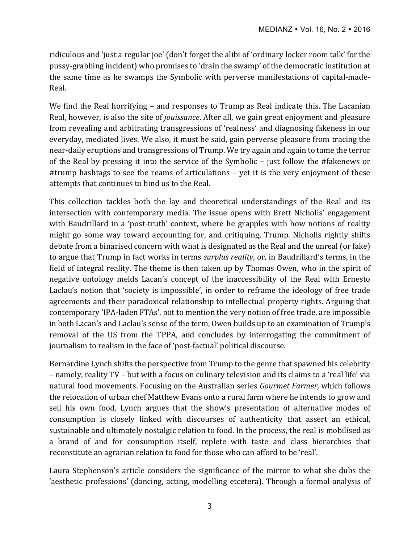ridiculous and 'just a regular joe' (don't forget the alibi of 'ordinary locker room talk' for the pussy-grabbing incident) who promises to 'drain the swamp' of the democratic institution at the same time as he swamps the Symbolic with perverse manifestations of capital-made-Real.

We find the Real horrifying  $-$  and responses to Trump as Real indicate this. The Lacanian Real, however, is also the site of *jouissance*. After all, we gain great enjoyment and pleasure from revealing and arbitrating transgressions of 'realness' and diagnosing fakeness in our everyday, mediated lives. We also, it must be said, gain perverse pleasure from tracing the near-daily eruptions and transgressions of Trump. We try again and again to tame the terror of the Real by pressing it into the service of the Symbolic – just follow the #fakenews or #trump hashtags to see the reams of articulations  $-$  yet it is the very enjoyment of these attempts that continues to bind us to the Real.

This collection tackles both the lay and theoretical understandings of the Real and its intersection with contemporary media. The issue opens with Brett Nicholls' engagement with Baudrillard in a 'post-truth' context, where he grapples with how notions of reality might go some way toward accounting for, and critiquing, Trump. Nicholls rightly shifts debate from a binarised concern with what is designated as the Real and the unreal (or fake) to argue that Trump in fact works in terms *surplus reality*, or, in Baudrillard's terms, in the field of integral reality. The theme is then taken up by Thomas Owen, who in the spirit of negative ontology melds Lacan's concept of the inaccessibility of the Real with Ernesto Laclau's notion that 'society is impossible', in order to reframe the ideology of free trade agreements and their paradoxical relationship to intellectual property rights. Arguing that contemporary 'IPA-laden FTAs', not to mention the very notion of free trade, are impossible in both Lacan's and Laclau's sense of the term, Owen builds up to an examination of Trump's removal of the US from the TPPA, and concludes by interrogating the commitment of journalism to realism in the face of 'post-factual' political discourse.

Bernardine Lynch shifts the perspective from Trump to the genre that spawned his celebrity – namely, reality TV – but with a focus on culinary television and its claims to a 'real life' via natural food movements. Focusing on the Australian series *Gourmet Farmer*, which follows the relocation of urban chef Matthew Evans onto a rural farm where he intends to grow and sell his own food, Lynch argues that the show's presentation of alternative modes of consumption is closely linked with discourses of authenticity that assert an ethical, sustainable and ultimately nostalgic relation to food. In the process, the real is mobilised as a brand of and for consumption itself, replete with taste and class hierarchies that reconstitute an agrarian relation to food for those who can afford to be 'real'.

Laura Stephenson's article considers the significance of the mirror to what she dubs the 'aesthetic professions' (dancing, acting, modelling etcetera). Through a formal analysis of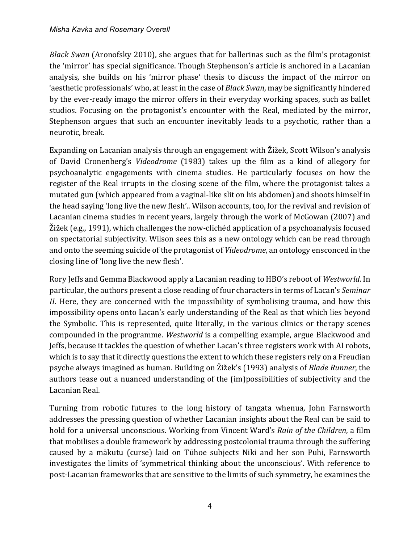*Black Swan* (Aronofsky 2010), she argues that for ballerinas such as the film's protagonist the 'mirror' has special significance. Though Stephenson's article is anchored in a Lacanian analysis, she builds on his 'mirror phase' thesis to discuss the impact of the mirror on 'aesthetic professionals' who, at least in the case of *Black Swan*, may be significantly hindered by the ever-ready imago the mirror offers in their everyday working spaces, such as ballet studios. Focusing on the protagonist's encounter with the Real, mediated by the mirror, Stephenson argues that such an encounter inevitably leads to a psychotic, rather than a neurotic, break.

Expanding on Lacanian analysis through an engagement with Žižek, Scott Wilson's analysis of David Cronenberg's *Videodrome* (1983) takes up the film as a kind of allegory for psychoanalytic engagements with cinema studies. He particularly focuses on how the register of the Real irrupts in the closing scene of the film, where the protagonist takes a mutated gun (which appeared from a vaginal-like slit on his abdomen) and shoots himself in the head saying 'long live the new flesh'.. Wilson accounts, too, for the revival and revision of Lacanian cinema studies in recent years, largely through the work of McGowan (2007) and  $\check{\text{Z}}$ ižek (e.g., 1991), which challenges the now-clichéd application of a psychoanalysis focused on spectatorial subjectivity. Wilson sees this as a new ontology which can be read through and onto the seeming suicide of the protagonist of *Videodrome*, an ontology ensconced in the closing line of 'long live the new flesh'.

Rory Jeffs and Gemma Blackwood apply a Lacanian reading to HBO's reboot of *Westworld*. In particular, the authors present a close reading of four characters in terms of Lacan's *Seminar II*. Here, they are concerned with the impossibility of symbolising trauma, and how this impossibility opens onto Lacan's early understanding of the Real as that which lies beyond the Symbolic. This is represented, quite literally, in the various clinics or therapy scenes compounded in the programme. *Westworld* is a compelling example, argue Blackwood and Jeffs, because it tackles the question of whether Lacan's three registers work with AI robots, which is to say that it directly questions the extent to which these registers rely on a Freudian psyche always imagined as human. Building on Žižek's (1993) analysis of *Blade Runner*, the authors tease out a nuanced understanding of the (im)possibilities of subjectivity and the Lacanian Real. 

Turning from robotic futures to the long history of tangata whenua, John Farnsworth addresses the pressing question of whether Lacanian insights about the Real can be said to hold for a universal unconscious. Working from Vincent Ward's *Rain of the Children*, a film that mobilises a double framework by addressing postcolonial trauma through the suffering caused by a mākutu (curse) laid on Tūhoe subjects Niki and her son Puhi, Farnsworth investigates the limits of 'symmetrical thinking about the unconscious'. With reference to post-Lacanian frameworks that are sensitive to the limits of such symmetry, he examines the